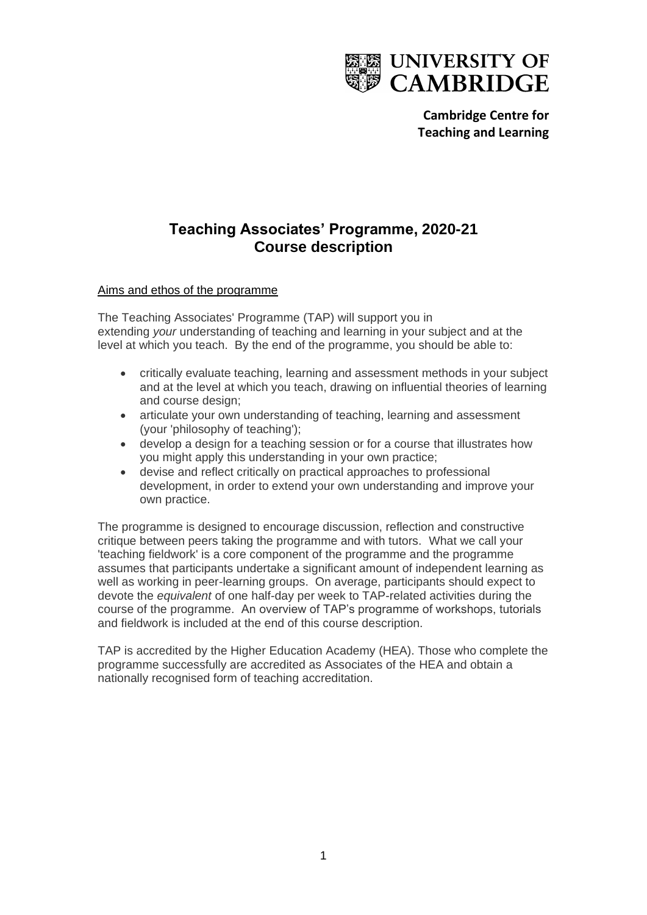

**Cambridge Centre for Teaching and Learning**

# **Teaching Associates' Programme, 2020-21 Course description**

## Aims and ethos of the programme

The Teaching Associates' Programme (TAP) will support you in extending *your* understanding of teaching and learning in your subject and at the level at which you teach. By the end of the programme, you should be able to:

- critically evaluate teaching, learning and assessment methods in your subject and at the level at which you teach, drawing on influential theories of learning and course design;
- articulate your own understanding of teaching, learning and assessment (your 'philosophy of teaching');
- develop a design for a teaching session or for a course that illustrates how you might apply this understanding in your own practice;
- devise and reflect critically on practical approaches to professional development, in order to extend your own understanding and improve your own practice.

The programme is designed to encourage discussion, reflection and constructive critique between peers taking the programme and with tutors. What we call your 'teaching fieldwork' is a core component of the programme and the programme assumes that participants undertake a significant amount of independent learning as well as working in peer-learning groups. On average, participants should expect to devote the *equivalent* of one half-day per week to TAP-related activities during the course of the programme. An overview of TAP's programme of workshops, tutorials and fieldwork is included at the end of this course description.

TAP is accredited by the Higher Education Academy (HEA). Those who complete the programme successfully are accredited as Associates of the HEA and obtain a nationally recognised form of teaching accreditation.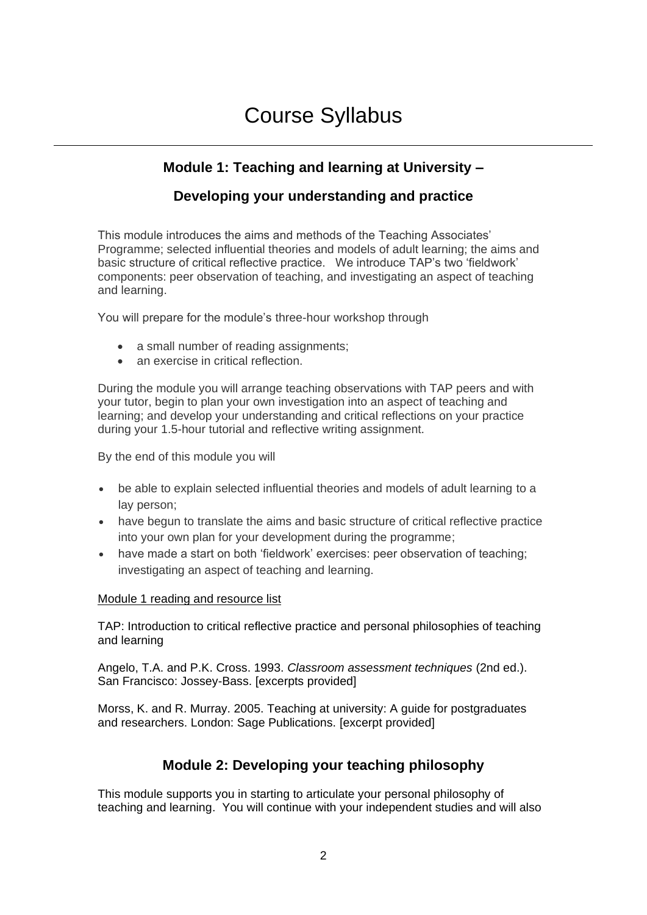# Course Syllabus

# **Module 1: Teaching and learning at University –**

# **Developing your understanding and practice**

This module introduces the aims and methods of the Teaching Associates' Programme; selected influential theories and models of adult learning; the aims and basic structure of critical reflective practice. We introduce TAP's two 'fieldwork' components: peer observation of teaching, and investigating an aspect of teaching and learning.

You will prepare for the module's three-hour workshop through

- a small number of reading assignments;
- an exercise in critical reflection.

During the module you will arrange teaching observations with TAP peers and with your tutor, begin to plan your own investigation into an aspect of teaching and learning; and develop your understanding and critical reflections on your practice during your 1.5-hour tutorial and reflective writing assignment.

By the end of this module you will

- be able to explain selected influential theories and models of adult learning to a lay person;
- have begun to translate the aims and basic structure of critical reflective practice into your own plan for your development during the programme;
- have made a start on both 'fieldwork' exercises: peer observation of teaching; investigating an aspect of teaching and learning.

#### Module 1 reading and resource list

TAP: Introduction to critical reflective practice and personal philosophies of teaching and learning

Angelo, T.A. and P.K. Cross. 1993. *Classroom assessment techniques* (2nd ed.). San Francisco: Jossey-Bass. [excerpts provided]

Morss, K. and R. Murray. 2005. Teaching at university: A guide for postgraduates and researchers. London: Sage Publications. [excerpt provided]

## **Module 2: Developing your teaching philosophy**

This module supports you in starting to articulate your personal philosophy of teaching and learning. You will continue with your independent studies and will also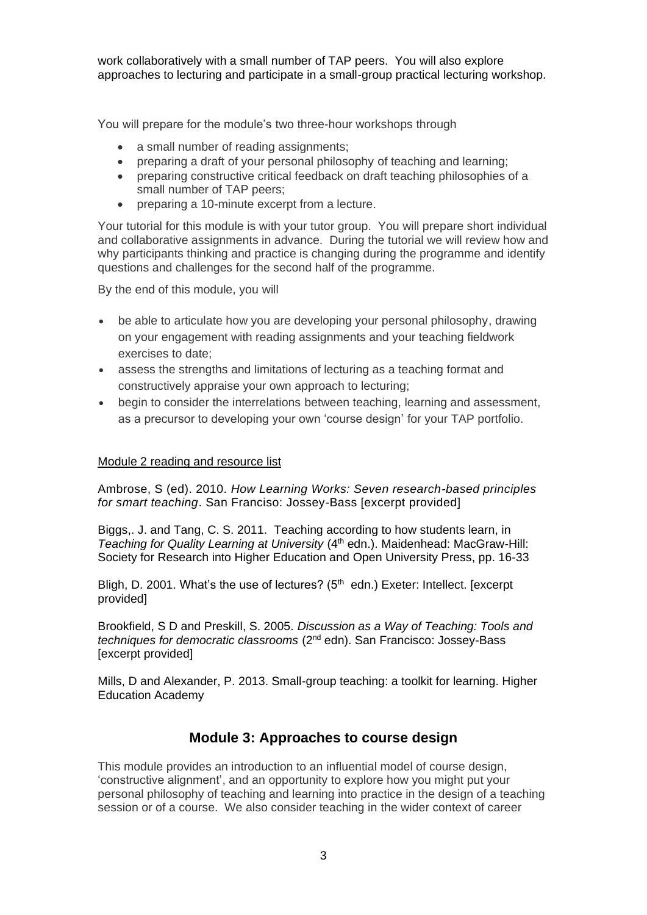work collaboratively with a small number of TAP peers. You will also explore approaches to lecturing and participate in a small-group practical lecturing workshop.

You will prepare for the module's two three-hour workshops through

- a small number of reading assignments:
- preparing a draft of your personal philosophy of teaching and learning;
- preparing constructive critical feedback on draft teaching philosophies of a small number of TAP peers;
- preparing a 10-minute excerpt from a lecture.

Your tutorial for this module is with your tutor group. You will prepare short individual and collaborative assignments in advance. During the tutorial we will review how and why participants thinking and practice is changing during the programme and identify questions and challenges for the second half of the programme.

By the end of this module, you will

- be able to articulate how you are developing your personal philosophy, drawing on your engagement with reading assignments and your teaching fieldwork exercises to date;
- assess the strengths and limitations of lecturing as a teaching format and constructively appraise your own approach to lecturing;
- begin to consider the interrelations between teaching, learning and assessment, as a precursor to developing your own 'course design' for your TAP portfolio.

#### Module 2 reading and resource list

Ambrose, S (ed). 2010. *How Learning Works: Seven research-based principles for smart teaching*. San Franciso: Jossey-Bass [excerpt provided]

Biggs,. J. and Tang, C. S. 2011. Teaching according to how students learn, in *Teaching for Quality Learning at University* (4<sup>th</sup> edn.). Maidenhead: MacGraw-Hill: Society for Research into Higher Education and Open University Press, pp. 16-33

Bligh, D. 2001. What's the use of lectures?  $(5<sup>th</sup>$  edn.) Exeter: Intellect. [excerpt] provided]

Brookfield, S D and Preskill, S. 2005. *Discussion as a Way of Teaching: Tools and techniques for democratic classrooms* (2nd edn). San Francisco: Jossey-Bass [excerpt provided]

Mills, D and Alexander, P. 2013. Small-group teaching: a toolkit for learning. Higher Education Academy

## **Module 3: Approaches to course design**

This module provides an introduction to an influential model of course design, 'constructive alignment', and an opportunity to explore how you might put your personal philosophy of teaching and learning into practice in the design of a teaching session or of a course. We also consider teaching in the wider context of career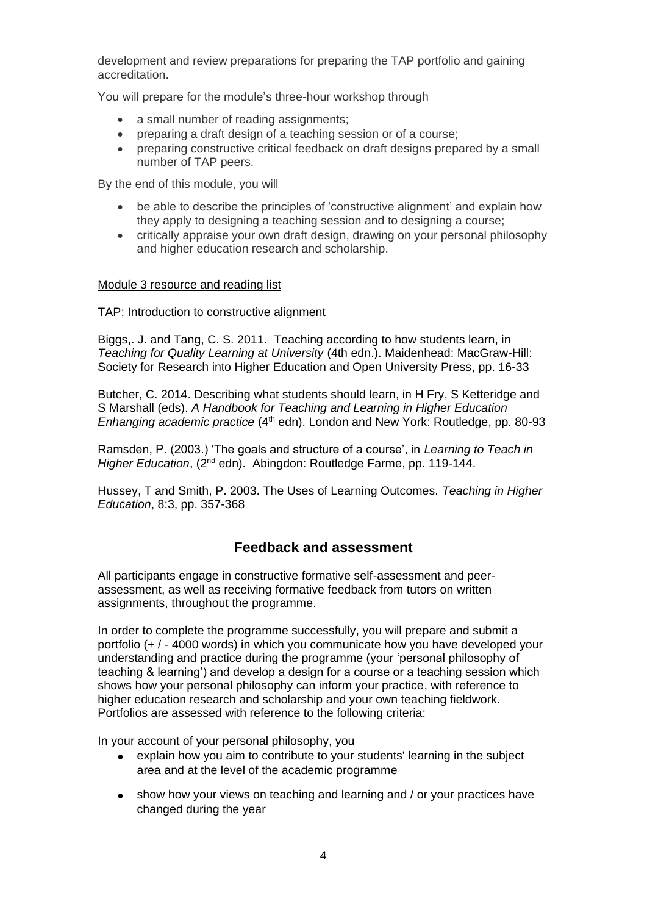development and review preparations for preparing the TAP portfolio and gaining accreditation.

You will prepare for the module's three-hour workshop through

- a small number of reading assignments:
- preparing a draft design of a teaching session or of a course;
- preparing constructive critical feedback on draft designs prepared by a small number of TAP peers.

By the end of this module, you will

- be able to describe the principles of 'constructive alignment' and explain how they apply to designing a teaching session and to designing a course;
- critically appraise your own draft design, drawing on your personal philosophy and higher education research and scholarship.

## Module 3 resource and reading list

TAP: Introduction to constructive alignment

Biggs,. J. and Tang, C. S. 2011. Teaching according to how students learn, in *Teaching for Quality Learning at University* (4th edn.). Maidenhead: MacGraw-Hill: Society for Research into Higher Education and Open University Press, pp. 16-33

Butcher, C. 2014. Describing what students should learn, in H Fry, S Ketteridge and S Marshall (eds). *A Handbook for Teaching and Learning in Higher Education Enhanging academic practice* (4<sup>th</sup> edn). London and New York: Routledge, pp. 80-93

Ramsden, P. (2003.) 'The goals and structure of a course', in *Learning to Teach in Higher Education*, (2nd edn). Abingdon: Routledge Farme, pp. 119-144.

Hussey, T and Smith, P. 2003. The Uses of Learning Outcomes. *Teaching in Higher Education*, 8:3, pp. 357-368

## **Feedback and assessment**

All participants engage in constructive formative self-assessment and peerassessment, as well as receiving formative feedback from tutors on written assignments, throughout the programme.

In order to complete the programme successfully, you will prepare and submit a portfolio (+ / - 4000 words) in which you communicate how you have developed your understanding and practice during the programme (your 'personal philosophy of teaching & learning') and develop a design for a course or a teaching session which shows how your personal philosophy can inform your practice, with reference to higher education research and scholarship and your own teaching fieldwork. Portfolios are assessed with reference to the following criteria:

In your account of your personal philosophy, you

- explain how you aim to contribute to your students' learning in the subject area and at the level of the academic programme
- show how your views on teaching and learning and / or your practices have changed during the year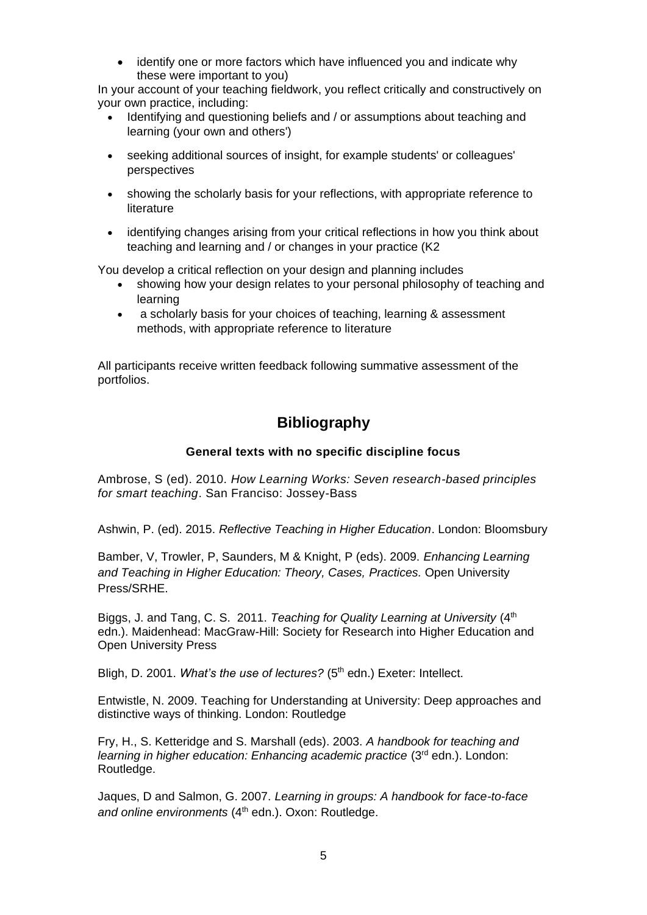identify one or more factors which have influenced you and indicate why these were important to you)

In your account of your teaching fieldwork, you reflect critically and constructively on your own practice, including:

- Identifying and questioning beliefs and / or assumptions about teaching and learning (your own and others')
- seeking additional sources of insight, for example students' or colleagues' perspectives
- showing the scholarly basis for your reflections, with appropriate reference to literature
- identifying changes arising from your critical reflections in how you think about teaching and learning and / or changes in your practice (K2

You develop a critical reflection on your design and planning includes

- showing how your design relates to your personal philosophy of teaching and learning
- a scholarly basis for your choices of teaching, learning & assessment methods, with appropriate reference to literature

All participants receive written feedback following summative assessment of the portfolios.

# **Bibliography**

### **General texts with no specific discipline focus**

Ambrose, S (ed). 2010. *How Learning Works: Seven research-based principles for smart teaching*. San Franciso: Jossey-Bass

Ashwin, P. (ed). 2015. *Reflective Teaching in Higher Education*. London: Bloomsbury

Bamber, V, Trowler, P, Saunders, M & Knight, P (eds). 2009. *Enhancing Learning and Teaching in Higher Education: Theory, Cases, Practices.* Open University Press/SRHE.

Biggs, J. and Tang, C. S. 2011. *Teaching for Quality Learning at University* (4<sup>th</sup>) edn.). Maidenhead: MacGraw-Hill: Society for Research into Higher Education and Open University Press

Bligh, D. 2001. *What's the use of lectures?* (5<sup>th</sup> edn.) Exeter: Intellect.

Entwistle, N. 2009. Teaching for Understanding at University: Deep approaches and distinctive ways of thinking. London: Routledge

Fry, H., S. Ketteridge and S. Marshall (eds). 2003. *A handbook for teaching and learning in higher education: Enhancing academic practice* (3rd edn.). London: Routledge.

Jaques, D and Salmon, G. 2007. *Learning in groups: A handbook for face-to-face*  and online environments (4<sup>th</sup> edn.). Oxon: Routledge.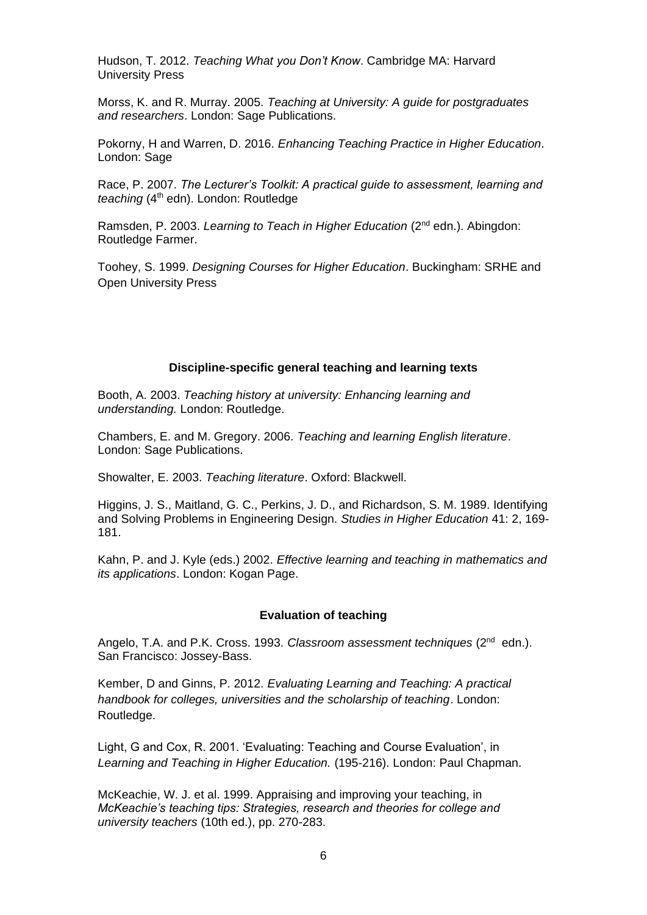Hudson, T. 2012. *Teaching What you Don't Know*. Cambridge MA: Harvard University Press

Morss, K. and R. Murray. 2005. *Teaching at University: A guide for postgraduates and researchers*. London: Sage Publications.

Pokorny, H and Warren, D. 2016. *Enhancing Teaching Practice in Higher Education*. London: Sage

Race, P. 2007. *The Lecturer's Toolkit: A practical guide to assessment, learning and teaching* (4<sup>th</sup> edn). London: Routledge

Ramsden, P. 2003. *Learning to Teach in Higher Education* (2nd edn.). Abingdon: Routledge Farmer.

Toohey, S. 1999. *Designing Courses for Higher Education*. Buckingham: SRHE and Open University Press

#### **Discipline-specific general teaching and learning texts**

Booth, A. 2003. *Teaching history at university: Enhancing learning and understanding.* London: Routledge.

Chambers, E. and M. Gregory. 2006. *Teaching and learning English literature*. London: Sage Publications.

Showalter, E. 2003. *Teaching literature*. Oxford: Blackwell.

Higgins, J. S., Maitland, G. C., Perkins, J. D., and Richardson, S. M. 1989. Identifying and Solving Problems in Engineering Design. *Studies in Higher Education* 41: 2, 169- 181.

Kahn, P. and J. Kyle (eds.) 2002. *Effective learning and teaching in mathematics and its applications*. London: Kogan Page.

## **Evaluation of teaching**

Angelo, T.A. and P.K. Cross. 1993. Classroom assessment techniques (2<sup>nd</sup> edn.). San Francisco: Jossey-Bass.

Kember, D and Ginns, P. 2012. *Evaluating Learning and Teaching: A practical handbook for colleges, universities and the scholarship of teaching*. London: Routledge.

Light, G and Cox, R. 2001. 'Evaluating: Teaching and Course Evaluation', in *Learning and Teaching in Higher Education.* (195-216). London: Paul Chapman.

McKeachie, W. J. et al. 1999. Appraising and improving your teaching, in *McKeachie's teaching tips: Strategies, research and theories for college and university teachers* (10th ed.), pp. 270-283.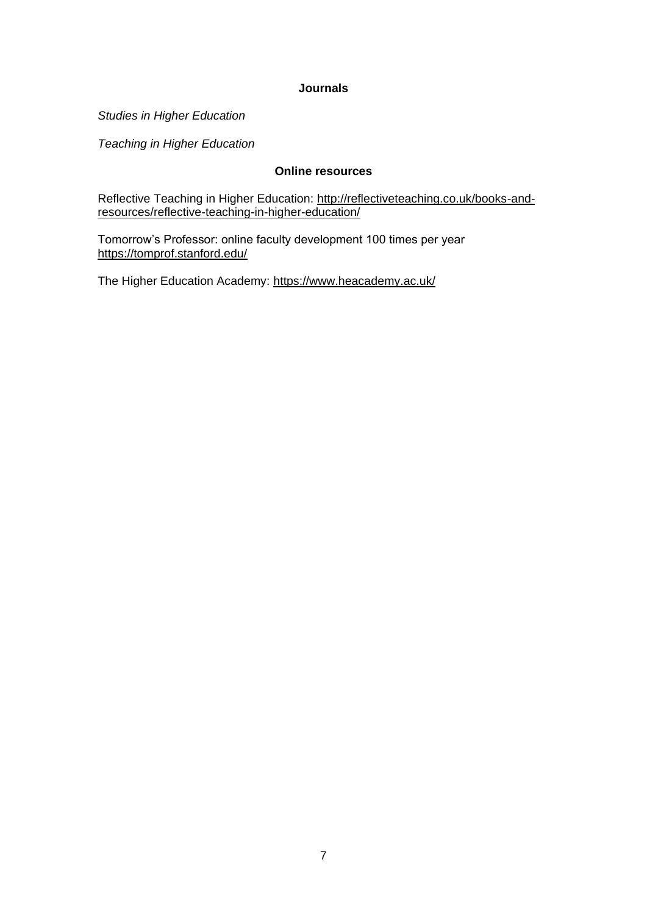### **Journals**

*Studies in Higher Education*

*Teaching in Higher Education*

## **Online resources**

Reflective Teaching in Higher Education: [http://reflectiveteaching.co.uk/books-and](http://reflectiveteaching.co.uk/books-and-resources/reflective-teaching-in-higher-education/)[resources/reflective-teaching-in-higher-education/](http://reflectiveteaching.co.uk/books-and-resources/reflective-teaching-in-higher-education/)

Tomorrow's Professor: online faculty development 100 times per year <https://tomprof.stanford.edu/>

The Higher Education Academy:<https://www.heacademy.ac.uk/>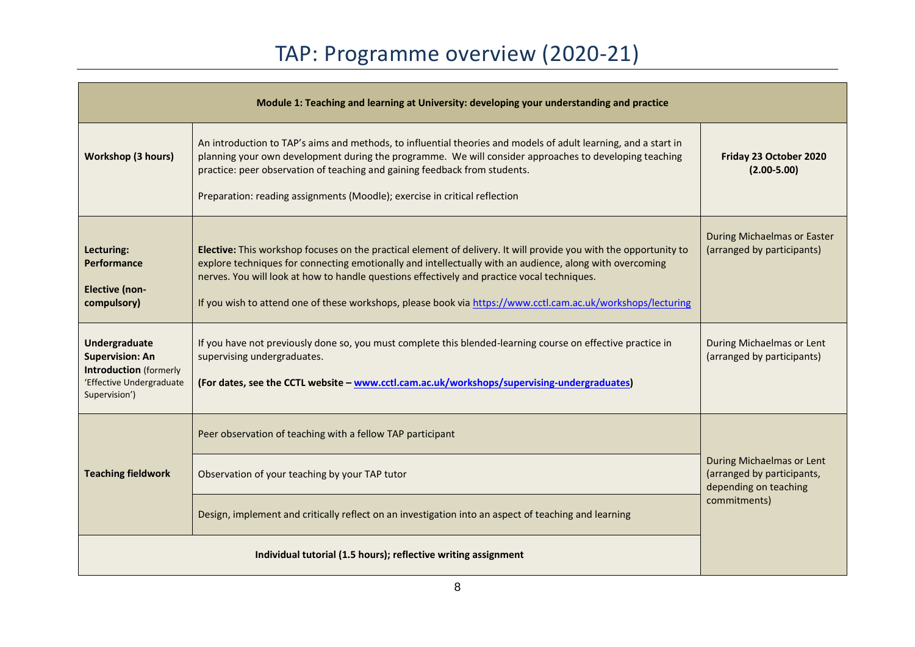| Module 1: Teaching and learning at University: developing your understanding and practice                                    |                                                                                                                                                                                                                                                                                                                                                                                                                                              |                                                                                  |  |  |
|------------------------------------------------------------------------------------------------------------------------------|----------------------------------------------------------------------------------------------------------------------------------------------------------------------------------------------------------------------------------------------------------------------------------------------------------------------------------------------------------------------------------------------------------------------------------------------|----------------------------------------------------------------------------------|--|--|
| <b>Workshop (3 hours)</b>                                                                                                    | An introduction to TAP's aims and methods, to influential theories and models of adult learning, and a start in<br>planning your own development during the programme. We will consider approaches to developing teaching<br>practice: peer observation of teaching and gaining feedback from students.<br>Preparation: reading assignments (Moodle); exercise in critical reflection                                                        | Friday 23 October 2020<br>$(2.00 - 5.00)$                                        |  |  |
| Lecturing:<br>Performance<br><b>Elective (non-</b><br>compulsory)                                                            | Elective: This workshop focuses on the practical element of delivery. It will provide you with the opportunity to<br>explore techniques for connecting emotionally and intellectually with an audience, along with overcoming<br>nerves. You will look at how to handle questions effectively and practice vocal techniques.<br>If you wish to attend one of these workshops, please book via https://www.cctl.cam.ac.uk/workshops/lecturing | During Michaelmas or Easter<br>(arranged by participants)                        |  |  |
| <b>Undergraduate</b><br><b>Supervision: An</b><br><b>Introduction</b> (formerly<br>'Effective Undergraduate<br>Supervision') | If you have not previously done so, you must complete this blended-learning course on effective practice in<br>supervising undergraduates.<br>(For dates, see the CCTL website - www.cctl.cam.ac.uk/workshops/supervising-undergraduates)                                                                                                                                                                                                    | During Michaelmas or Lent<br>(arranged by participants)                          |  |  |
|                                                                                                                              | Peer observation of teaching with a fellow TAP participant                                                                                                                                                                                                                                                                                                                                                                                   |                                                                                  |  |  |
| <b>Teaching fieldwork</b>                                                                                                    | Observation of your teaching by your TAP tutor                                                                                                                                                                                                                                                                                                                                                                                               | During Michaelmas or Lent<br>(arranged by participants,<br>depending on teaching |  |  |
|                                                                                                                              | Design, implement and critically reflect on an investigation into an aspect of teaching and learning                                                                                                                                                                                                                                                                                                                                         | commitments)                                                                     |  |  |
|                                                                                                                              |                                                                                                                                                                                                                                                                                                                                                                                                                                              |                                                                                  |  |  |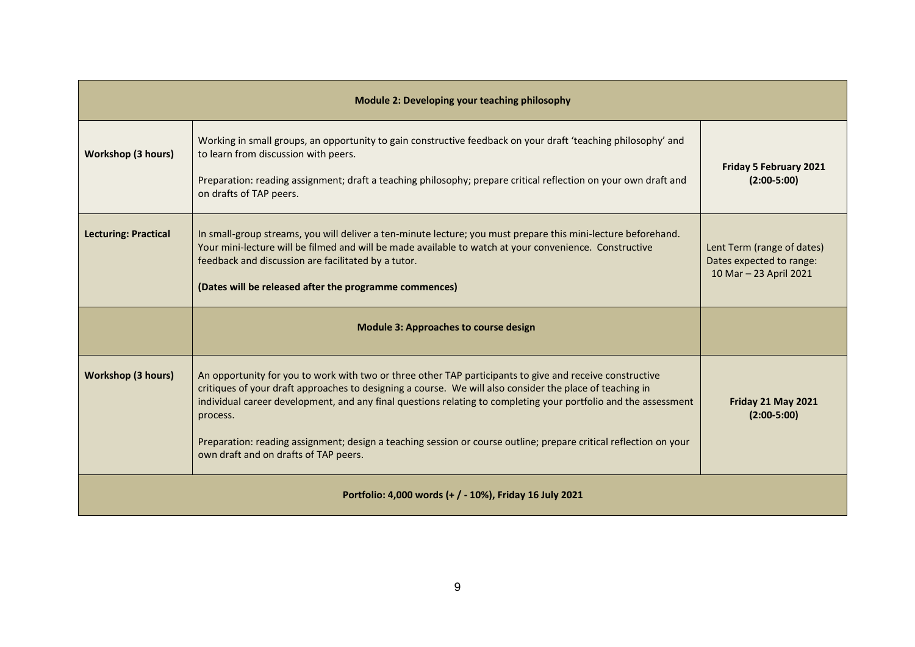| Module 2: Developing your teaching philosophy        |                                                                                                                                                                                                                                                                                                                                                                                                                                                                                                                   |                                                                                  |  |  |
|------------------------------------------------------|-------------------------------------------------------------------------------------------------------------------------------------------------------------------------------------------------------------------------------------------------------------------------------------------------------------------------------------------------------------------------------------------------------------------------------------------------------------------------------------------------------------------|----------------------------------------------------------------------------------|--|--|
| <b>Workshop (3 hours)</b>                            | Working in small groups, an opportunity to gain constructive feedback on your draft 'teaching philosophy' and<br>to learn from discussion with peers.<br>Preparation: reading assignment; draft a teaching philosophy; prepare critical reflection on your own draft and<br>on drafts of TAP peers.                                                                                                                                                                                                               | Friday 5 February 2021<br>$(2:00-5:00)$                                          |  |  |
| <b>Lecturing: Practical</b>                          | In small-group streams, you will deliver a ten-minute lecture; you must prepare this mini-lecture beforehand.<br>Your mini-lecture will be filmed and will be made available to watch at your convenience. Constructive<br>feedback and discussion are facilitated by a tutor.<br>(Dates will be released after the programme commences)                                                                                                                                                                          | Lent Term (range of dates)<br>Dates expected to range:<br>10 Mar - 23 April 2021 |  |  |
|                                                      | <b>Module 3: Approaches to course design</b>                                                                                                                                                                                                                                                                                                                                                                                                                                                                      |                                                                                  |  |  |
| <b>Workshop (3 hours)</b>                            | An opportunity for you to work with two or three other TAP participants to give and receive constructive<br>critiques of your draft approaches to designing a course. We will also consider the place of teaching in<br>individual career development, and any final questions relating to completing your portfolio and the assessment<br>process.<br>Preparation: reading assignment; design a teaching session or course outline; prepare critical reflection on your<br>own draft and on drafts of TAP peers. | Friday 21 May 2021<br>$(2:00-5:00)$                                              |  |  |
| Portfolio: 4,000 words (+/-10%), Friday 16 July 2021 |                                                                                                                                                                                                                                                                                                                                                                                                                                                                                                                   |                                                                                  |  |  |